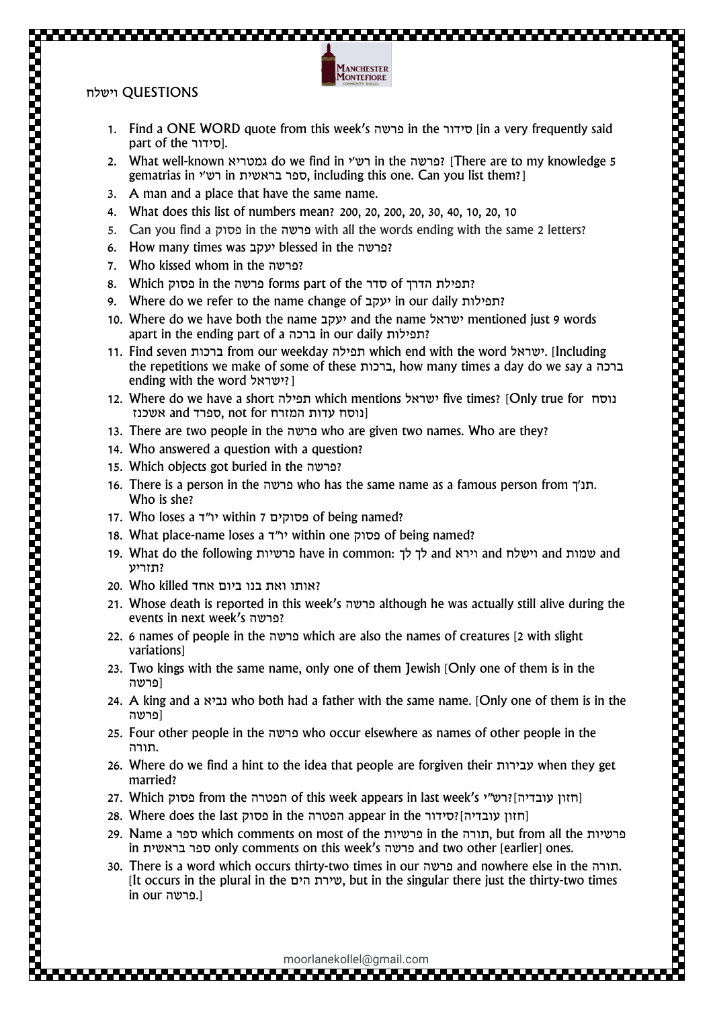

1. Find a ONE WORD quote from this week's פרשה in the סידור] in a very frequently said part of the סידור].

**LANCHESTER IONTEFIORE** 

- 2. What well-known גמטריא do we find in ישי in the פרשה] ?There are to my knowledge 5 gematrias in ישמית in ליש בראשית, including this one. Can you list them?]
- 3. A man and a place that have the same name.
- 4. What does this list of numbers mean? 200, 20, 200, 20, 30, 40, 10, 20, 10
- 5. Can you find a פסוק in the פרשה with all the words ending with the same 2 letters?
- 6. How many times was יעקב blessed in the פרשה?
- 7. Who kissed whom in the פרשה?
- 8. Which פרשה in the פרשה forms part of the הדרך of הדרך of ה
- 9. Where do we refer to the name change of יעקב in our daily יעקב
- 10. Where do we have both the name יעקב and the name ישראל mentioned just 9 words apart in the ending part of a ברכה in our daily תפילות?
- 11. Find seven ברכות from our weekday תפילה which end with the word ישראל.] Including the repetitions we make of some of these ברכות, how many times a day do we say a ברכה ending with the word ??????
- 12. Where do we have a short תפילה which mentions ישראל five times? [Only true for נוסח [נוסח עדות המזרח for not ,ספרד and אשכנז
- 13. There are two people in the פרשה who are given two names. Who are they?
- 14. Who answered a question with a question?
- 15. Which objects got buried in the פרשה?
- 16. There is a person in the פרשה. who has the same name as a famous person from תנ $\pi$ . Who is she?
- 17. Who loses a פסוקים 7 within 7 פסוקים of being named?
- 18. What place-name loses a ד"יו within one פסוק of being named?
- 19. What do the following פרשיות have in common: לך לך and וירא and וישלח and וישלח ?תזריע

- 20. Who killed אחד בנו ביום אחד
- 21. Whose death is reported in this week's פרשה although he was actually still alive during the events in next week's פרשה?
- 22. 6 names of people in the פרשה which are also the names of creatures [2 with slight variations]
- 23. Two kings with the same name, only one of them Jewish [Only one of them is in the [פרשה
- 24. A king and a נביא who both had a father with the same name. [Only one of them is in the [פרשה
- 25. Four other people in the פרשה who occur elsewhere as names of other people in the .תורה
- 26. Where do we find a hint to the idea that people are forgiven their עבירות when they get married?
- 27. Which פסוק from the הפטרה of this week appears in last week's י"תוון עובדיה ו
- 28. Where does the last פסוק in the הפטרה appear in the סידור[ ?עובדיה חזון]
- 29. Name a ספר which comments on most of the פרשיות in the תורה, but from all the פרשיות in בראשית ספר only comments on this week's פרשה and two other [earlier] ones.
- 30. There is a word which occurs thirty-two times in our פרשה and nowhere else in the תורה. [It occurs in the plural in the הים שירת, but in the singular there just the thirty-two times in our פרשה.[